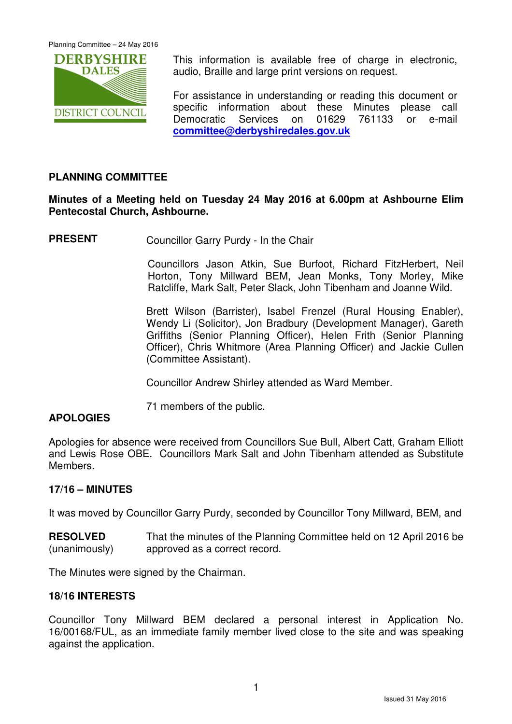Planning Committee – 24 May 2016



This information is available free of charge in electronic, audio, Braille and large print versions on request.

For assistance in understanding or reading this document or specific information about these Minutes please call Democratic Services on 01629 761133 or e-mail **committee@derbyshiredales.gov.uk**

## **PLANNING COMMITTEE**

## **Minutes of a Meeting held on Tuesday 24 May 2016 at 6.00pm at Ashbourne Elim Pentecostal Church, Ashbourne.**

**PRESENT** Councillor Garry Purdy - In the Chair

 Councillors Jason Atkin, Sue Burfoot, Richard FitzHerbert, Neil Horton, Tony Millward BEM, Jean Monks, Tony Morley, Mike Ratcliffe, Mark Salt, Peter Slack, John Tibenham and Joanne Wild.

Brett Wilson (Barrister), Isabel Frenzel (Rural Housing Enabler), Wendy Li (Solicitor), Jon Bradbury (Development Manager), Gareth Griffiths (Senior Planning Officer), Helen Frith (Senior Planning Officer), Chris Whitmore (Area Planning Officer) and Jackie Cullen (Committee Assistant).

Councillor Andrew Shirley attended as Ward Member.

71 members of the public.

## **APOLOGIES**

Apologies for absence were received from Councillors Sue Bull, Albert Catt, Graham Elliott and Lewis Rose OBE. Councillors Mark Salt and John Tibenham attended as Substitute Members.

#### **17/16 – MINUTES**

It was moved by Councillor Garry Purdy, seconded by Councillor Tony Millward, BEM, and

**RESOLVED** (unanimously) That the minutes of the Planning Committee held on 12 April 2016 be approved as a correct record.

The Minutes were signed by the Chairman.

## **18/16 INTERESTS**

Councillor Tony Millward BEM declared a personal interest in Application No. 16/00168/FUL, as an immediate family member lived close to the site and was speaking against the application.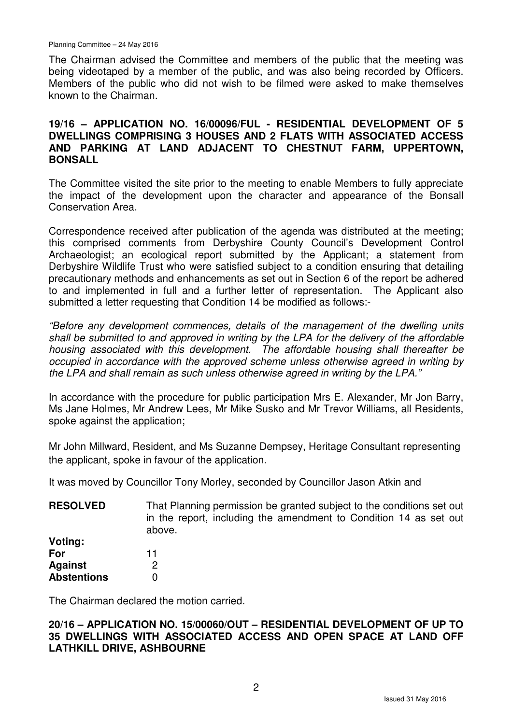The Chairman advised the Committee and members of the public that the meeting was being videotaped by a member of the public, and was also being recorded by Officers. Members of the public who did not wish to be filmed were asked to make themselves known to the Chairman.

## **19/16 – APPLICATION NO. 16/00096/FUL - RESIDENTIAL DEVELOPMENT OF 5 DWELLINGS COMPRISING 3 HOUSES AND 2 FLATS WITH ASSOCIATED ACCESS AND PARKING AT LAND ADJACENT TO CHESTNUT FARM, UPPERTOWN, BONSALL**

The Committee visited the site prior to the meeting to enable Members to fully appreciate the impact of the development upon the character and appearance of the Bonsall Conservation Area.

Correspondence received after publication of the agenda was distributed at the meeting; this comprised comments from Derbyshire County Council's Development Control Archaeologist; an ecological report submitted by the Applicant; a statement from Derbyshire Wildlife Trust who were satisfied subject to a condition ensuring that detailing precautionary methods and enhancements as set out in Section 6 of the report be adhered to and implemented in full and a further letter of representation. The Applicant also submitted a letter requesting that Condition 14 be modified as follows:-

"Before any development commences, details of the management of the dwelling units shall be submitted to and approved in writing by the LPA for the delivery of the affordable housing associated with this development. The affordable housing shall thereafter be occupied in accordance with the approved scheme unless otherwise agreed in writing by the LPA and shall remain as such unless otherwise agreed in writing by the LPA."

In accordance with the procedure for public participation Mrs E. Alexander, Mr Jon Barry, Ms Jane Holmes, Mr Andrew Lees, Mr Mike Susko and Mr Trevor Williams, all Residents, spoke against the application;

Mr John Millward, Resident, and Ms Suzanne Dempsey, Heritage Consultant representing the applicant, spoke in favour of the application.

It was moved by Councillor Tony Morley, seconded by Councillor Jason Atkin and

**RESOLVED Voting:**  That Planning permission be granted subject to the conditions set out in the report, including the amendment to Condition 14 as set out above.

**For Against Abstentions**  11 2  $\Omega$ 

The Chairman declared the motion carried.

### **20/16 – APPLICATION NO. 15/00060/OUT – RESIDENTIAL DEVELOPMENT OF UP TO 35 DWELLINGS WITH ASSOCIATED ACCESS AND OPEN SPACE AT LAND OFF LATHKILL DRIVE, ASHBOURNE**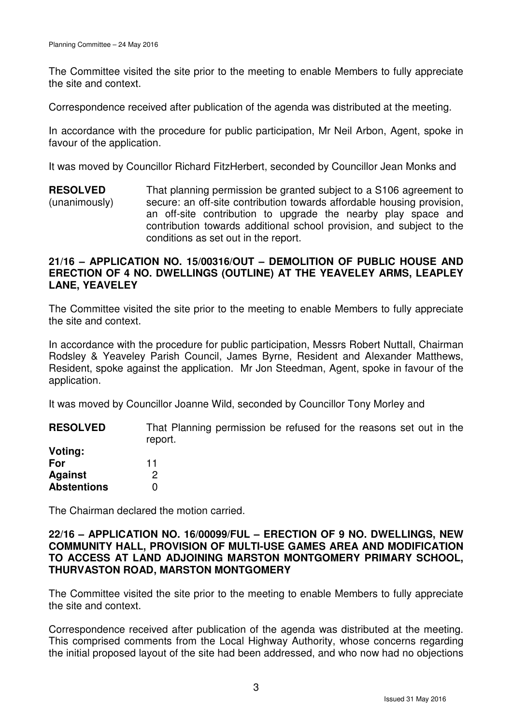The Committee visited the site prior to the meeting to enable Members to fully appreciate the site and context.

Correspondence received after publication of the agenda was distributed at the meeting.

In accordance with the procedure for public participation, Mr Neil Arbon, Agent, spoke in favour of the application.

It was moved by Councillor Richard FitzHerbert, seconded by Councillor Jean Monks and

**RESOLVED** (unanimously) That planning permission be granted subject to a S106 agreement to secure: an off-site contribution towards affordable housing provision, an off-site contribution to upgrade the nearby play space and contribution towards additional school provision, and subject to the conditions as set out in the report.

### **21/16 – APPLICATION NO. 15/00316/OUT – DEMOLITION OF PUBLIC HOUSE AND ERECTION OF 4 NO. DWELLINGS (OUTLINE) AT THE YEAVELEY ARMS, LEAPLEY LANE, YEAVELEY**

The Committee visited the site prior to the meeting to enable Members to fully appreciate the site and context.

In accordance with the procedure for public participation, Messrs Robert Nuttall, Chairman Rodsley & Yeaveley Parish Council, James Byrne, Resident and Alexander Matthews, Resident, spoke against the application. Mr Jon Steedman, Agent, spoke in favour of the application.

It was moved by Councillor Joanne Wild, seconded by Councillor Tony Morley and

**RESOLVED Voting:**  That Planning permission be refused for the reasons set out in the report.

| For                | 11 |
|--------------------|----|
| <b>Against</b>     | 2  |
| <b>Abstentions</b> | 0  |

The Chairman declared the motion carried.

## **22/16 – APPLICATION NO. 16/00099/FUL – ERECTION OF 9 NO. DWELLINGS, NEW COMMUNITY HALL, PROVISION OF MULTI-USE GAMES AREA AND MODIFICATION TO ACCESS AT LAND ADJOINING MARSTON MONTGOMERY PRIMARY SCHOOL, THURVASTON ROAD, MARSTON MONTGOMERY**

The Committee visited the site prior to the meeting to enable Members to fully appreciate the site and context.

Correspondence received after publication of the agenda was distributed at the meeting. This comprised comments from the Local Highway Authority, whose concerns regarding the initial proposed layout of the site had been addressed, and who now had no objections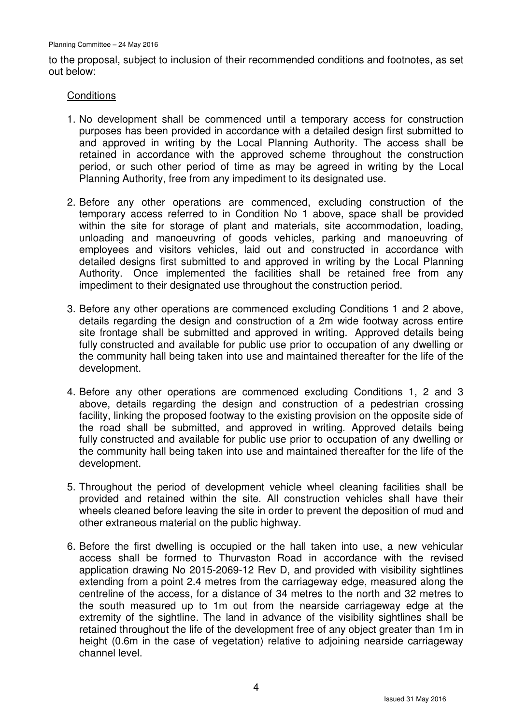to the proposal, subject to inclusion of their recommended conditions and footnotes, as set out below:

#### **Conditions**

- 1. No development shall be commenced until a temporary access for construction purposes has been provided in accordance with a detailed design first submitted to and approved in writing by the Local Planning Authority. The access shall be retained in accordance with the approved scheme throughout the construction period, or such other period of time as may be agreed in writing by the Local Planning Authority, free from any impediment to its designated use.
- 2. Before any other operations are commenced, excluding construction of the temporary access referred to in Condition No 1 above, space shall be provided within the site for storage of plant and materials, site accommodation, loading, unloading and manoeuvring of goods vehicles, parking and manoeuvring of employees and visitors vehicles, laid out and constructed in accordance with detailed designs first submitted to and approved in writing by the Local Planning Authority. Once implemented the facilities shall be retained free from any impediment to their designated use throughout the construction period.
- 3. Before any other operations are commenced excluding Conditions 1 and 2 above, details regarding the design and construction of a 2m wide footway across entire site frontage shall be submitted and approved in writing. Approved details being fully constructed and available for public use prior to occupation of any dwelling or the community hall being taken into use and maintained thereafter for the life of the development.
- 4. Before any other operations are commenced excluding Conditions 1, 2 and 3 above, details regarding the design and construction of a pedestrian crossing facility, linking the proposed footway to the existing provision on the opposite side of the road shall be submitted, and approved in writing. Approved details being fully constructed and available for public use prior to occupation of any dwelling or the community hall being taken into use and maintained thereafter for the life of the development.
- 5. Throughout the period of development vehicle wheel cleaning facilities shall be provided and retained within the site. All construction vehicles shall have their wheels cleaned before leaving the site in order to prevent the deposition of mud and other extraneous material on the public highway.
- 6. Before the first dwelling is occupied or the hall taken into use, a new vehicular access shall be formed to Thurvaston Road in accordance with the revised application drawing No 2015-2069-12 Rev D, and provided with visibility sightlines extending from a point 2.4 metres from the carriageway edge, measured along the centreline of the access, for a distance of 34 metres to the north and 32 metres to the south measured up to 1m out from the nearside carriageway edge at the extremity of the sightline. The land in advance of the visibility sightlines shall be retained throughout the life of the development free of any object greater than 1m in height (0.6m in the case of vegetation) relative to adjoining nearside carriageway channel level.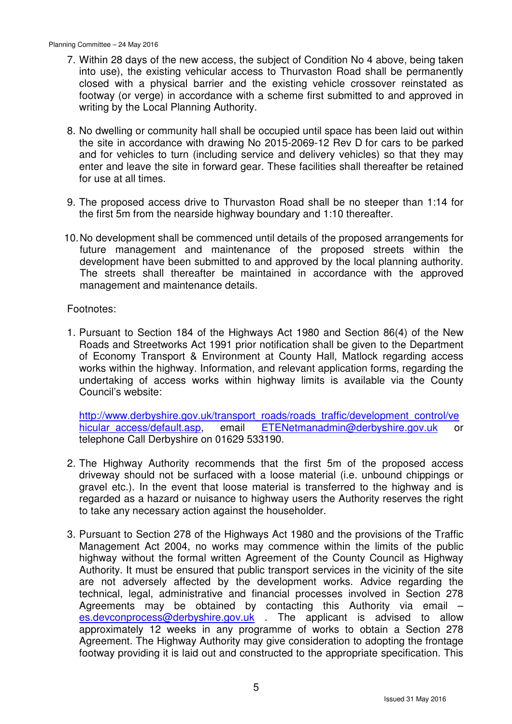- 7. Within 28 days of the new access, the subject of Condition No 4 above, being taken into use), the existing vehicular access to Thurvaston Road shall be permanently closed with a physical barrier and the existing vehicle crossover reinstated as footway (or verge) in accordance with a scheme first submitted to and approved in writing by the Local Planning Authority.
- 8. No dwelling or community hall shall be occupied until space has been laid out within the site in accordance with drawing No 2015-2069-12 Rev D for cars to be parked and for vehicles to turn (including service and delivery vehicles) so that they may enter and leave the site in forward gear. These facilities shall thereafter be retained for use at all times.
- 9. The proposed access drive to Thurvaston Road shall be no steeper than 1:14 for the first 5m from the nearside highway boundary and 1:10 thereafter.
- 10. No development shall be commenced until details of the proposed arrangements for future management and maintenance of the proposed streets within the development have been submitted to and approved by the local planning authority. The streets shall thereafter be maintained in accordance with the approved management and maintenance details.

Footnotes:

1. Pursuant to Section 184 of the Highways Act 1980 and Section 86(4) of the New Roads and Streetworks Act 1991 prior notification shall be given to the Department of Economy Transport & Environment at County Hall, Matlock regarding access works within the highway. Information, and relevant application forms, regarding the undertaking of access works within highway limits is available via the County Council's website:

http://www.derbyshire.gov.uk/transport\_roads/roads\_traffic/development\_control/ve hicular access/default.asp, email ETENetmanadmin@derbyshire.gov.uk or telephone Call Derbyshire on 01629 533190.

- 2. The Highway Authority recommends that the first 5m of the proposed access driveway should not be surfaced with a loose material (i.e. unbound chippings or gravel etc.). In the event that loose material is transferred to the highway and is regarded as a hazard or nuisance to highway users the Authority reserves the right to take any necessary action against the householder.
- 3. Pursuant to Section 278 of the Highways Act 1980 and the provisions of the Traffic Management Act 2004, no works may commence within the limits of the public highway without the formal written Agreement of the County Council as Highway Authority. It must be ensured that public transport services in the vicinity of the site are not adversely affected by the development works. Advice regarding the technical, legal, administrative and financial processes involved in Section 278 Agreements may be obtained by contacting this Authority via email – es.devconprocess@derbyshire.gov.uk . The applicant is advised to allow approximately 12 weeks in any programme of works to obtain a Section 278 Agreement. The Highway Authority may give consideration to adopting the frontage footway providing it is laid out and constructed to the appropriate specification. This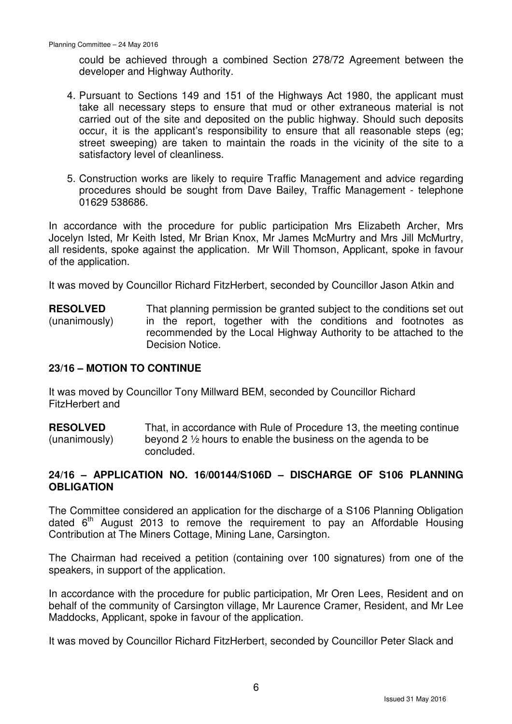could be achieved through a combined Section 278/72 Agreement between the developer and Highway Authority.

- 4. Pursuant to Sections 149 and 151 of the Highways Act 1980, the applicant must take all necessary steps to ensure that mud or other extraneous material is not carried out of the site and deposited on the public highway. Should such deposits occur, it is the applicant's responsibility to ensure that all reasonable steps (eg; street sweeping) are taken to maintain the roads in the vicinity of the site to a satisfactory level of cleanliness.
- 5. Construction works are likely to require Traffic Management and advice regarding procedures should be sought from Dave Bailey, Traffic Management - telephone 01629 538686.

In accordance with the procedure for public participation Mrs Elizabeth Archer, Mrs Jocelyn Isted, Mr Keith Isted, Mr Brian Knox, Mr James McMurtry and Mrs Jill McMurtry, all residents, spoke against the application. Mr Will Thomson, Applicant, spoke in favour of the application.

It was moved by Councillor Richard FitzHerbert, seconded by Councillor Jason Atkin and

**RESOLVED** (unanimously) That planning permission be granted subject to the conditions set out in the report, together with the conditions and footnotes as recommended by the Local Highway Authority to be attached to the Decision Notice.

#### **23/16 – MOTION TO CONTINUE**

It was moved by Councillor Tony Millward BEM, seconded by Councillor Richard FitzHerbert and

**RESOLVED** (unanimously) That, in accordance with Rule of Procedure 13, the meeting continue beyond 2 ½ hours to enable the business on the agenda to be concluded.

## **24/16 – APPLICATION NO. 16/00144/S106D – DISCHARGE OF S106 PLANNING OBLIGATION**

The Committee considered an application for the discharge of a S106 Planning Obligation dated  $6<sup>th</sup>$  August 2013 to remove the requirement to pay an Affordable Housing Contribution at The Miners Cottage, Mining Lane, Carsington.

The Chairman had received a petition (containing over 100 signatures) from one of the speakers, in support of the application.

In accordance with the procedure for public participation, Mr Oren Lees, Resident and on behalf of the community of Carsington village, Mr Laurence Cramer, Resident, and Mr Lee Maddocks, Applicant, spoke in favour of the application.

It was moved by Councillor Richard FitzHerbert, seconded by Councillor Peter Slack and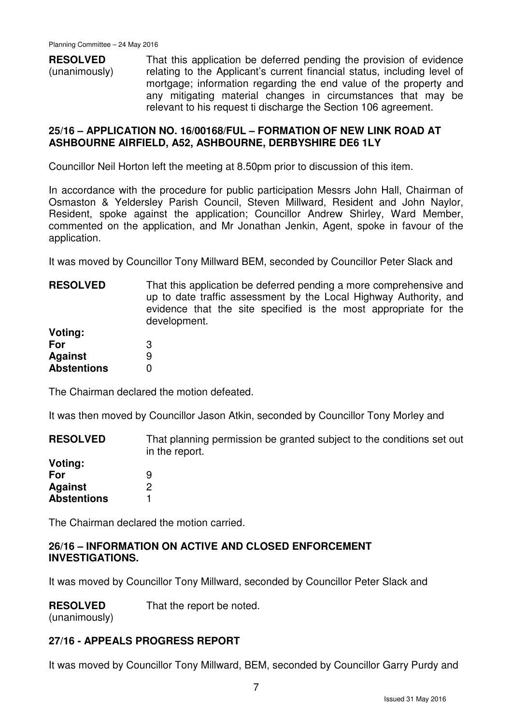**RESOLVED** (unanimously) That this application be deferred pending the provision of evidence relating to the Applicant's current financial status, including level of mortgage; information regarding the end value of the property and any mitigating material changes in circumstances that may be relevant to his request ti discharge the Section 106 agreement.

#### **25/16 – APPLICATION NO. 16/00168/FUL – FORMATION OF NEW LINK ROAD AT ASHBOURNE AIRFIELD, A52, ASHBOURNE, DERBYSHIRE DE6 1LY**

Councillor Neil Horton left the meeting at 8.50pm prior to discussion of this item.

In accordance with the procedure for public participation Messrs John Hall, Chairman of Osmaston & Yeldersley Parish Council, Steven Millward, Resident and John Naylor, Resident, spoke against the application; Councillor Andrew Shirley, Ward Member, commented on the application, and Mr Jonathan Jenkin, Agent, spoke in favour of the application.

It was moved by Councillor Tony Millward BEM, seconded by Councillor Peter Slack and

| <b>RESOLVED</b>    | That this application be deferred pending a more comprehensive and<br>up to date traffic assessment by the Local Highway Authority, and<br>evidence that the site specified is the most appropriate for the<br>development. |
|--------------------|-----------------------------------------------------------------------------------------------------------------------------------------------------------------------------------------------------------------------------|
| Voting:            |                                                                                                                                                                                                                             |
| For                |                                                                                                                                                                                                                             |
| <b>Against</b>     | 9                                                                                                                                                                                                                           |
| <b>Abstentions</b> |                                                                                                                                                                                                                             |

The Chairman declared the motion defeated.

It was then moved by Councillor Jason Atkin, seconded by Councillor Tony Morley and

| <b>RESOLVED</b>    | That planning permission be granted subject to the conditions set out<br>in the report. |
|--------------------|-----------------------------------------------------------------------------------------|
| Voting:            |                                                                                         |
| For                | 9                                                                                       |
| <b>Against</b>     |                                                                                         |
| <b>Abstentions</b> |                                                                                         |

The Chairman declared the motion carried.

#### **26/16 – INFORMATION ON ACTIVE AND CLOSED ENFORCEMENT INVESTIGATIONS.**

It was moved by Councillor Tony Millward, seconded by Councillor Peter Slack and

**RESOLVED** That the report be noted.

(unanimously)

## **27/16 - APPEALS PROGRESS REPORT**

It was moved by Councillor Tony Millward, BEM, seconded by Councillor Garry Purdy and